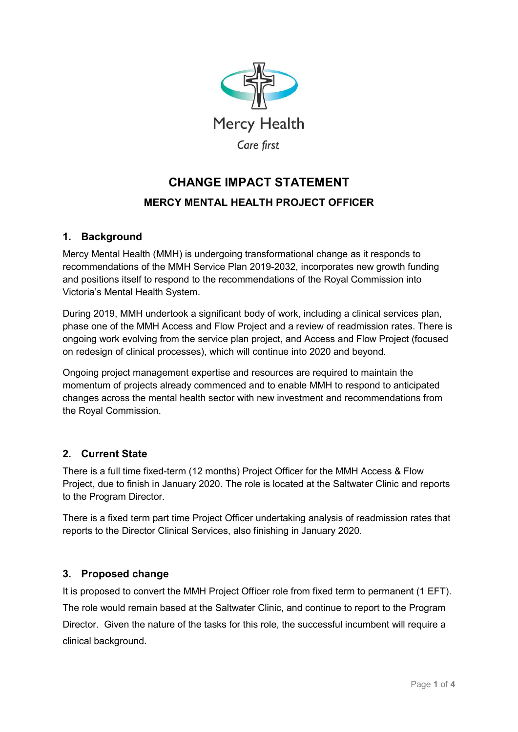

# CHANGE IMPACT STATEMENT MERCY MENTAL HEALTH PROJECT OFFICER

## 1. Background

Mercy Mental Health (MMH) is undergoing transformational change as it responds to recommendations of the MMH Service Plan 2019-2032, incorporates new growth funding and positions itself to respond to the recommendations of the Royal Commission into Victoria's Mental Health System.

During 2019, MMH undertook a significant body of work, including a clinical services plan, phase one of the MMH Access and Flow Project and a review of readmission rates. There is ongoing work evolving from the service plan project, and Access and Flow Project (focused on redesign of clinical processes), which will continue into 2020 and beyond.

Ongoing project management expertise and resources are required to maintain the momentum of projects already commenced and to enable MMH to respond to anticipated changes across the mental health sector with new investment and recommendations from the Royal Commission.

#### 2. Current State

There is a full time fixed-term (12 months) Project Officer for the MMH Access & Flow Project, due to finish in January 2020. The role is located at the Saltwater Clinic and reports to the Program Director.

There is a fixed term part time Project Officer undertaking analysis of readmission rates that reports to the Director Clinical Services, also finishing in January 2020.

#### 3. Proposed change

It is proposed to convert the MMH Project Officer role from fixed term to permanent (1 EFT). The role would remain based at the Saltwater Clinic, and continue to report to the Program Director. Given the nature of the tasks for this role, the successful incumbent will require a clinical background.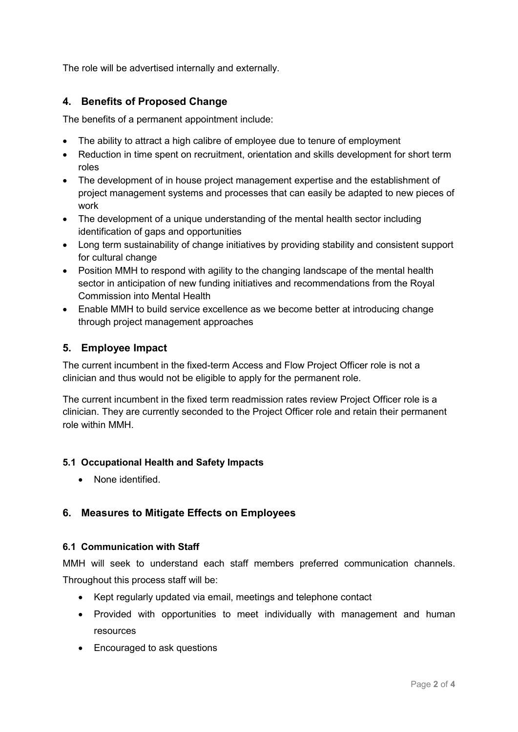The role will be advertised internally and externally.

## 4. Benefits of Proposed Change

The benefits of a permanent appointment include:

- The ability to attract a high calibre of employee due to tenure of employment
- Reduction in time spent on recruitment, orientation and skills development for short term roles
- The development of in house project management expertise and the establishment of project management systems and processes that can easily be adapted to new pieces of work
- The development of a unique understanding of the mental health sector including identification of gaps and opportunities
- Long term sustainability of change initiatives by providing stability and consistent support for cultural change
- Position MMH to respond with agility to the changing landscape of the mental health sector in anticipation of new funding initiatives and recommendations from the Royal Commission into Mental Health
- Enable MMH to build service excellence as we become better at introducing change through project management approaches

### 5. Employee Impact

The current incumbent in the fixed-term Access and Flow Project Officer role is not a clinician and thus would not be eligible to apply for the permanent role.

The current incumbent in the fixed term readmission rates review Project Officer role is a clinician. They are currently seconded to the Project Officer role and retain their permanent role within MMH.

#### 5.1 Occupational Health and Safety Impacts

• None identified

#### 6. Measures to Mitigate Effects on Employees

#### 6.1 Communication with Staff

MMH will seek to understand each staff members preferred communication channels. Throughout this process staff will be:

- Kept regularly updated via email, meetings and telephone contact
- Provided with opportunities to meet individually with management and human resources
- Encouraged to ask questions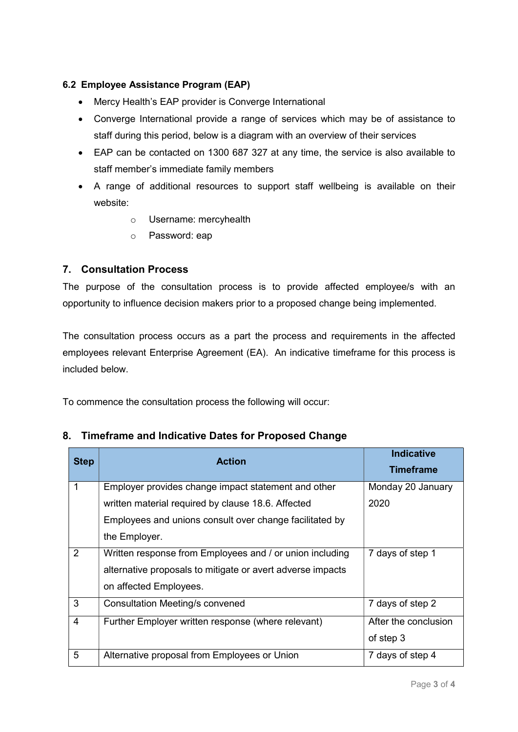#### 6.2 Employee Assistance Program (EAP)

- Mercy Health's EAP provider is Converge International
- Converge International provide a range of services which may be of assistance to staff during this period, below is a diagram with an overview of their services
- EAP can be contacted on 1300 687 327 at any time, the service is also available to staff member's immediate family members
- A range of additional resources to support staff wellbeing is available on their website:
	- o Username: mercyhealth
	- o Password: eap

#### 7. Consultation Process

The purpose of the consultation process is to provide affected employee/s with an opportunity to influence decision makers prior to a proposed change being implemented.

The consultation process occurs as a part the process and requirements in the affected employees relevant Enterprise Agreement (EA). An indicative timeframe for this process is included below.

To commence the consultation process the following will occur:

| <b>Step</b>    | <b>Action</b>                                              | <b>Indicative</b><br><b>Timeframe</b> |
|----------------|------------------------------------------------------------|---------------------------------------|
| 1              | Employer provides change impact statement and other        | Monday 20 January                     |
|                | written material required by clause 18.6. Affected         | 2020                                  |
|                | Employees and unions consult over change facilitated by    |                                       |
|                | the Employer.                                              |                                       |
| 2              | Written response from Employees and / or union including   | 7 days of step 1                      |
|                | alternative proposals to mitigate or avert adverse impacts |                                       |
|                | on affected Employees.                                     |                                       |
| 3              | <b>Consultation Meeting/s convened</b>                     | 7 days of step 2                      |
| $\overline{4}$ | Further Employer written response (where relevant)         | After the conclusion                  |
|                |                                                            | of step 3                             |
| 5              | Alternative proposal from Employees or Union               | 7 days of step 4                      |

# 8. Timeframe and Indicative Dates for Proposed Change